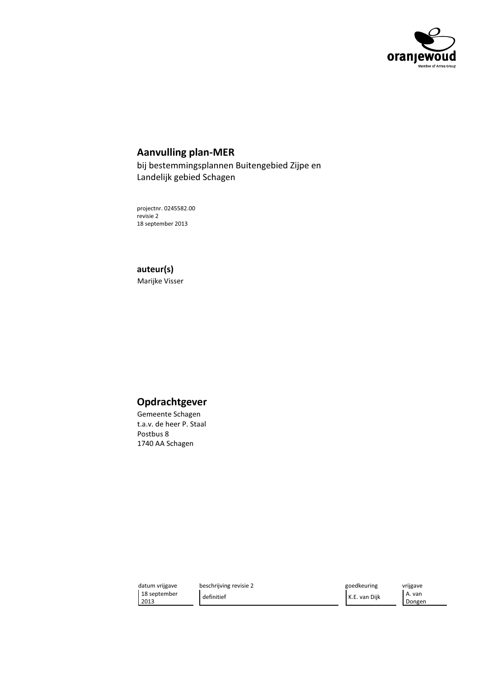

## **Aanvulling plan-MER**

bij bestemmingsplannen Buitengebied Zijpe en Landelijk gebied Schagen

projectnr. 0245582.00 revisie 2 18 september 2013

## auteur(s)

Marijke Visser

# Opdrachtgever

Gemeente Schagen t.a.v. de heer P. Staal Postbus 8 1740 AA Schagen

datum vrijgave 18 september 2013

beschrijving revisie 2 definitief

goedkeuring K.E. van Dijk vrijgave A. van Dongen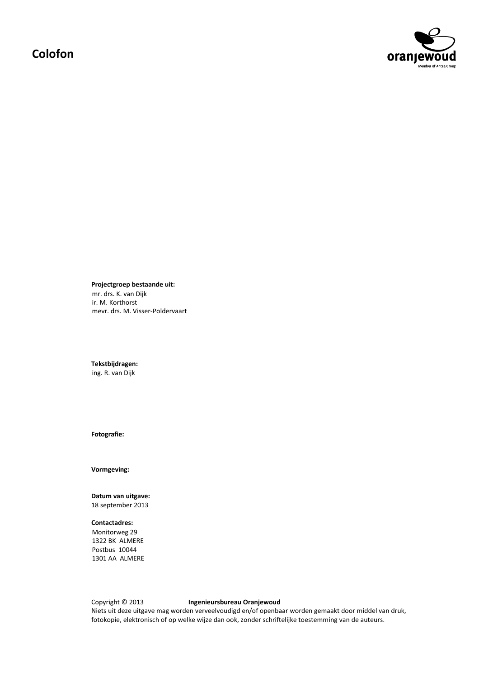# Colofon



Projectgroep bestaande uit: mr. drs. K. van Dijk ir. M. Korthorst mevr. drs. M. Visser-Poldervaart

Tekstbijdragen: ing. R. van Dijk

Fotografie:

Vormgeving:

Datum van uitgave: 18 september 2013

## **Contactadres:**

Monitorweg 29 1322 BK ALMERE Postbus 10044 1301 AA ALMERE

Copyright © 2013 Ingenieursbureau Oranjewoud Niets uit deze uitgave mag worden verveelvoudigd en/of openbaar worden gemaakt door middel van druk, fotokopie, elektronisch of op welke wijze dan ook, zonder schriftelijke toestemming van de auteurs.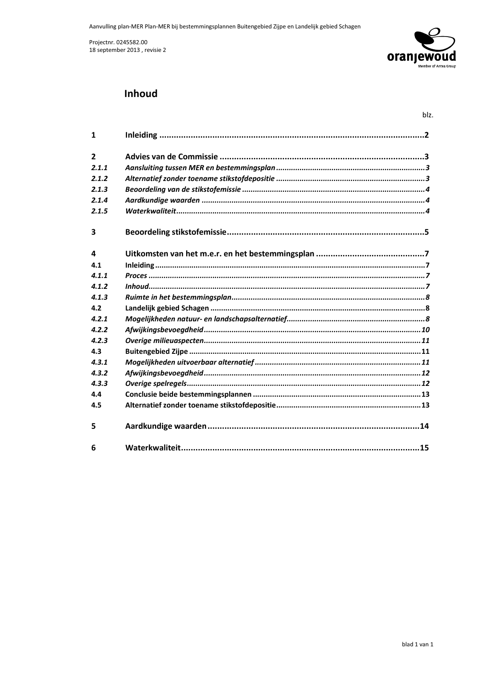

## **Inhoud**

| $\mathbf{1}$   |  |
|----------------|--|
| $\overline{2}$ |  |
| 2.1.1          |  |
| 2.1.2          |  |
| 2.1.3          |  |
| 2.1.4          |  |
| 2.1.5          |  |
| 3              |  |
| 4              |  |
| 4.1            |  |
| 4.1.1          |  |
| 4.1.2          |  |
| 4.1.3          |  |
| 4.2            |  |
| 4.2.1          |  |
| 4.2.2          |  |
| 4.2.3          |  |
| 4.3            |  |
| 4.3.1          |  |
| 4.3.2          |  |
| 4.3.3          |  |
| 4.4            |  |
| 4.5            |  |
| 5              |  |
| 6              |  |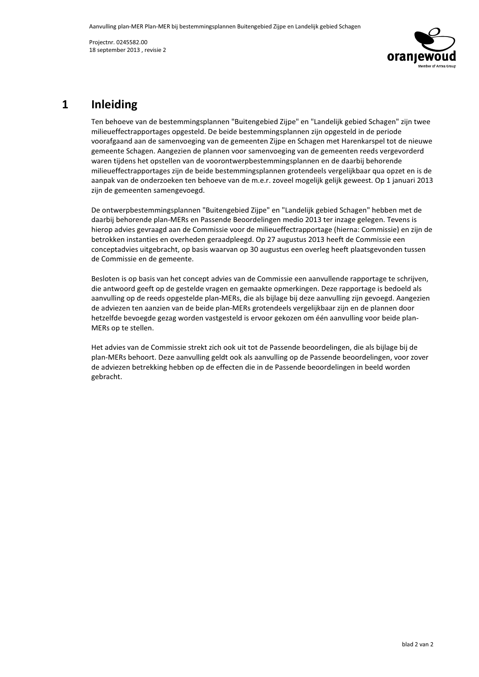

# 1 Inleiding

Ten behoeve van de bestemmingsplannen "Buitengebied Ziipe" en "Landeliik gebied Schagen" zijn twee  $\mathbf$ milieueffectrapportages opgesteld. De beide bestemmingsplannen zijn opgesteld in de periode voorafgaand aan de samenvoeging van de gemeenten Zijpe en Schagen met Harenkarspel tot de nieuwe gemeente Schagen. Aangezien de plannen voor samenvoeging van de gemeenten reeds vergevorderd waren tijdens het opstellen van de voorontwerpbestemmingsplannen en de daarbij behorende  $\mathbf M$ ilieueffectrapportages zijn de beide bestemmingsplannen grotendeels vergelijkbaar qua opzet en is de aanpak van de onderzoeken ten behoeve van de m.e.r. zoveel mogelijk gelijk geweest. Op 1 januari 2013 zijn de gemeenten samengevoegd.

De ontwerpbestemmingsplannen "Buitengebied Zijpe" en "Landelijk gebied Schagen" hebben met de daarbij behorende plan-MERs en Passende Beoordelingen medio 2013 ter inzage gelegen. Tevens is hierop advies gevraagd aan de Commissie voor de milieueffectrapportage (hierna: Commissie) en zijn de betrokken instanties en overheden geraadpleegd. Op 27 augustus 2013 heeft de Commissie een conceptadvies uitgebracht, op basis waarvan op 30 augustus een overleg heeft plaatsgevonden tussen de Commissie en de gemeente.

Besloten is op basis van het concept advies van de Commissie een aanvullende rapportage te schrijven, die antwoord geeft op de gestelde vragen en gemaakte opmerkingen. Deze rapportage is bedoeld als aanvulling op de reeds opgestelde plan-MERs, die als bijlage bij deze aanvulling zijn gevoegd. Aangezien de adviezen ten aanzien van de beide plan-MERs grotendeels vergelijkbaar zijn en de plannen door hetzelfde bevoegde gezag worden vastgesteld is ervoor gekozen om één aanvulling voor beide plan-MERs op te stellen.

Het advies van de Commissie strekt zich ook uit tot de Passende beoordelingen, die als bijlage bij de plan-MERs behoort. Deze aanvulling geldt ook als aanvulling op de Passende beoordelingen, voor zover de adviezen betrekking hebben op de effecten die in de Passende beoordelingen in beeld worden gebracht.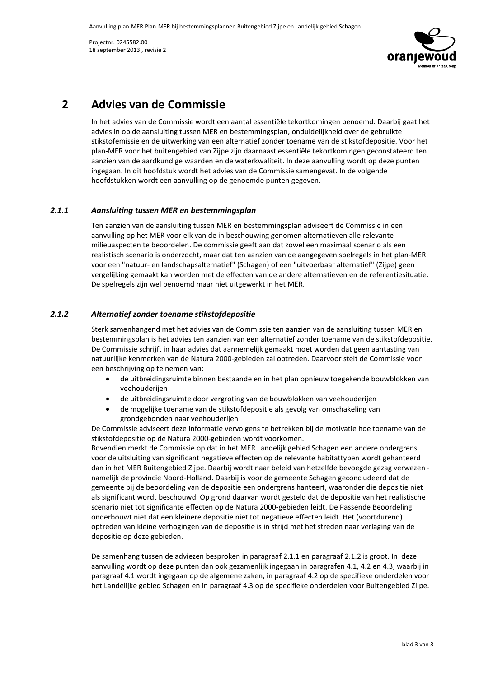

### **Advies van de Commissie**  $2<sup>1</sup>$

In het advies van de Commissie wordt een aantal essentiële tekortkomingen benoemd. Daarbij gaat het advies in op de aansluiting tussen MER en bestemmingsplan, onduidelijkheid over de gebruikte stikstofemissie en de uitwerking van een alternatief zonder toename van de stikstofdepositie. Voor het plan-MER voor het buitengebied van Zijpe zijn daarnaast essentiële tekortkomingen geconstateerd ten aanzien van de aardkundige waarden en de waterkwaliteit. In deze aanvulling wordt op deze punten ingegaan. In dit hoofdstuk wordt het advies van de Commissie samengevat. In de volgende hoofdstukken wordt een aanvulling op de genoemde punten gegeven.

#### $2.1.1$ Aansluiting tussen MER en bestemmingsplan

Ten aanzien van de aansluiting tussen MER en bestemmingsplan adviseert de Commissie in een aanvulling op het MER voor elk van de in beschouwing genomen alternatieven alle relevante milieuaspecten te beoordelen. De commissie geeft aan dat zowel een maximaal scenario als een realistisch scenario is onderzocht, maar dat ten aanzien van de aangegeven spelregels in het plan-MER voor een "natuur- en landschapsalternatief" (Schagen) of een "uitvoerbaar alternatief" (Zijpe) geen vergelijking gemaakt kan worden met de effecten van de andere alternatieven en de referentiesituatie. De spelregels zijn wel benoemd maar niet uitgewerkt in het MER.

#### $2.1.2$ Alternatief zonder toename stikstofdepositie

Sterk samenhangend met het advies van de Commissie ten aanzien van de aansluiting tussen MER en bestemmingsplan is het advies ten aanzien van een alternatief zonder toename van de stikstofdepositie. De Commissie schrijft in haar advies dat aannemelijk gemaakt moet worden dat geen aantasting van natuurlijke kenmerken van de Natura 2000-gebieden zal optreden. Daarvoor stelt de Commissie voor een beschrijving op te nemen van:

- de uitbreidingsruimte binnen bestaande en in het plan opnieuw toegekende bouwblokken van  $\bullet$ veehouderijen
- de uitbreidingsruimte door vergroting van de bouwblokken van veehouderijen
- de mogelijke toename van de stikstofdepositie als gevolg van omschakeling van grondgebonden naar veehouderijen

De Commissie adviseert deze informatie vervolgens te betrekken bij de motivatie hoe toename van de stikstofdepositie op de Natura 2000-gebieden wordt voorkomen.

Bovendien merkt de Commissie op dat in het MER Landelijk gebied Schagen een andere ondergrens voor de uitsluiting van significant negatieve effecten op de relevante habitattypen wordt gehanteerd dan in het MER Buitengebied Zijpe. Daarbij wordt naar beleid van hetzelfde bevoegde gezag verwezen namelijk de provincie Noord-Holland. Daarbij is voor de gemeente Schagen geconcludeerd dat de gemeente bij de beoordeling van de depositie een ondergrens hanteert, waaronder die depositie niet als significant wordt beschouwd. Op grond daarvan wordt gesteld dat de depositie van het realistische scenario niet tot significante effecten op de Natura 2000-gebieden leidt. De Passende Beoordeling onderbouwt niet dat een kleinere depositie niet tot negatieve effecten leidt. Het (voortdurend) optreden van kleine verhogingen van de depositie is in strijd met het streden naar verlaging van de depositie op deze gebieden.

De samenhang tussen de adviezen besproken in paragraaf 2.1.1 en paragraaf 2.1.2 is groot. In deze aanvulling wordt op deze punten dan ook gezamenlijk ingegaan in paragrafen 4.1, 4.2 en 4.3, waarbij in paragraaf 4.1 wordt ingegaan op de algemene zaken, in paragraaf 4.2 op de specifieke onderdelen voor het Landelijke gebied Schagen en in paragraaf 4.3 op de specifieke onderdelen voor Buitengebied Zijpe.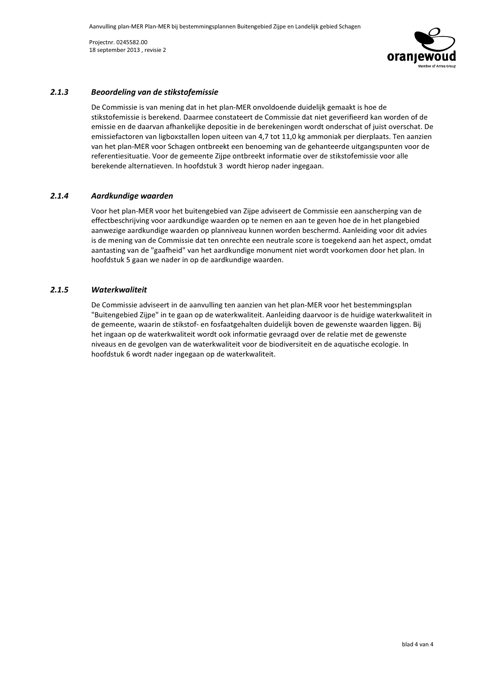

#### $2.1.3$ Beoordeling van de stikstofemissie

De Commissie is van mening dat in het plan-MER onvoldoende duidelijk gemaakt is hoe de stikstofemissie is berekend. Daarmee constateert de Commissie dat niet geverifieerd kan worden of de emissie en de daarvan afhankelijke depositie in de berekeningen wordt onderschat of juist overschat. De emissiefactoren van ligboxstallen lopen uiteen van 4,7 tot 11,0 kg ammoniak per dierplaats. Ten aanzien van het plan-MER voor Schagen ontbreekt een benoeming van de gehanteerde uitgangspunten voor de referentiesituatie. Voor de gemeente Zijpe ontbreekt informatie over de stikstofemissie voor alle berekende alternatieven. In hoofdstuk 3 wordt hierop nader ingegaan.

#### $2.1.4$ Aardkundige waarden

Voor het plan-MER voor het buitengebied van Zijpe adviseert de Commissie een aanscherping van de effectbeschrijving voor aardkundige waarden op te nemen en aan te geven hoe de in het plangebied aanwezige aardkundige waarden op planniveau kunnen worden beschermd. Aanleiding voor dit advies is de mening van de Commissie dat ten onrechte een neutrale score is toegekend aan het aspect, omdat aantasting van de "gaafheid" van het aardkundige monument niet wordt voorkomen door het plan. In hoofdstuk 5 gaan we nader in op de aardkundige waarden.

#### $2.1.5$ **Waterkwaliteit**

De Commissie adviseert in de aanvulling ten aanzien van het plan-MER voor het bestemmingsplan "Buitengebied Zijpe" in te gaan op de waterkwaliteit. Aanleiding daarvoor is de huidige waterkwaliteit in de gemeente, waarin de stikstof- en fosfaatgehalten duidelijk boven de gewenste waarden liggen. Bij het ingaan op de waterkwaliteit wordt ook informatie gevraagd over de relatie met de gewenste niveaus en de gevolgen van de waterkwaliteit voor de biodiversiteit en de aquatische ecologie. In hoofdstuk 6 wordt nader ingegaan op de waterkwaliteit.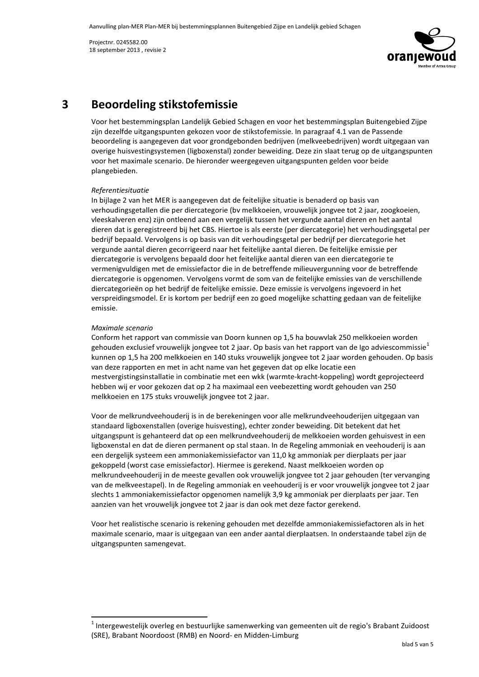

### **Beoordeling stikstofemissie**  $\overline{\mathbf{3}}$

Voor het bestemmingsplan Landelijk Gebied Schagen en voor het bestemmingsplan Buitengebied Zijpe zijn dezelfde uitgangspunten gekozen voor de stikstofemissie. In paragraaf 4.1 van de Passende beoordeling is aangegeven dat voor grondgebonden bedrijven (melkveebedrijven) wordt uitgegaan van overige huisvestingsystemen (ligboxenstal) zonder beweiding. Deze zin slaat terug op de uitgangspunten voor het maximale scenario. De hieronder weergegeven uitgangspunten gelden voor beide plangebieden.

### Referentiesituatie

In bijlage 2 van het MER is aangegeven dat de feitelijke situatie is benaderd op basis van verhoudingsgetallen die per diercategorie (by melkkoeien, vrouwelijk jongvee tot 2 jaar, zoogkoeien, vleeskalveren enz) zijn ontleend aan een vergelijk tussen het vergunde aantal dieren en het aantal dieren dat is geregistreerd bij het CBS. Hiertoe is als eerste (per diercategorie) het verhoudingsgetal per bedrijf bepaald. Vervolgens is op basis van dit verhoudingsgetal per bedrijf per diercategorie het vergunde aantal dieren gecorrigeerd naar het feitelijke aantal dieren. De feitelijke emissie per diercategorie is vervolgens bepaald door het feitelijke aantal dieren van een diercategorie te vermenigvuldigen met de emissiefactor die in de betreffende milieuvergunning voor de betreffende diercategorie is opgenomen. Vervolgens vormt de som van de feitelijke emissies van de verschillende diercategorieën op het bedrijf de feitelijke emissie. Deze emissie is vervolgens ingevoerd in het verspreidingsmodel. Er is kortom per bedrijf een zo goed mogelijke schatting gedaan van de feitelijke emissie.

### Maximale scenario

Conform het rapport van commissie van Doorn kunnen op 1,5 ha bouwvlak 250 melkkoeien worden gehouden exclusief vrouwelijk jongvee tot 2 jaar. Op basis van het rapport van de Igo adviescommissie<sup>1</sup> kunnen op 1,5 ha 200 melkkoeien en 140 stuks vrouwelijk jongvee tot 2 jaar worden gehouden. Op basis van deze rapporten en met in acht name van het gegeven dat op elke locatie een mestvergistingsinstallatie in combinatie met een wkk (warmte-kracht-koppeling) wordt geprojecteerd hebben wij er voor gekozen dat op 2 ha maximaal een veebezetting wordt gehouden van 250 melkkoeien en 175 stuks vrouwelijk jongvee tot 2 jaar.

Voor de melkrundveehouderij is in de berekeningen voor alle melkrundveehouderijen uitgegaan van standaard ligboxenstallen (overige huisvesting), echter zonder beweiding. Dit betekent dat het uitgangspunt is gehanteerd dat op een melkrundveehouderij de melkkoeien worden gehuisvest in een ligboxenstal en dat de dieren permanent op stal staan. In de Regeling ammoniak en veehouderij is aan een dergelijk systeem een ammoniakemissiefactor van 11,0 kg ammoniak per dierplaats per jaar gekoppeld (worst case emissiefactor). Hiermee is gerekend. Naast melkkoeien worden op melkrundveehouderij in de meeste gevallen ook vrouwelijk jongvee tot 2 jaar gehouden (ter vervanging van de melkveestapel). In de Regeling ammoniak en veehouderij is er voor vrouwelijk jongvee tot 2 jaar slechts 1 ammoniakemissiefactor opgenomen namelijk 3,9 kg ammoniak per dierplaats per jaar. Ten aanzien van het vrouwelijk jongvee tot 2 jaar is dan ook met deze factor gerekend.

Voor het realistische scenario is rekening gehouden met dezelfde ammoniakemissiefactoren als in het maximale scenario, maar is uitgegaan van een ander aantal dierplaatsen. In onderstaande tabel zijn de uitgangspunten samengevat.

 $1$  Intergewestelijk overleg en bestuurlijke samenwerking van gemeenten uit de regio's Brabant Zuidoost (SRE), Brabant Noordoost (RMB) en Noord- en Midden-Limburg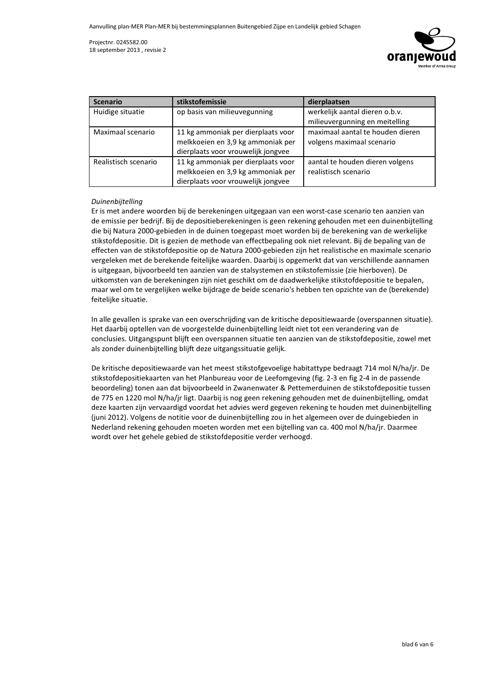

| <b>Scenario</b>      | stikstofemissie                    | dierplaatsen                     |
|----------------------|------------------------------------|----------------------------------|
| Huidige situatie     | op basis van milieuvegunning       | werkelijk aantal dieren o.b.v.   |
|                      |                                    | milieuvergunning en meitelling   |
| Maximaal scenario    | 11 kg ammoniak per dierplaats voor | maximaal aantal te houden dieren |
|                      | melkkoeien en 3,9 kg ammoniak per  | volgens maximaal scenario        |
|                      | dierplaats voor vrouwelijk jongvee |                                  |
| Realistisch scenario | 11 kg ammoniak per dierplaats voor | aantal te houden dieren volgens  |
|                      | melkkoeien en 3,9 kg ammoniak per  | realistisch scenario             |
|                      | dierplaats voor vrouwelijk jongvee |                                  |

### Duinenbijtelling

Er is met andere woorden bij de berekeningen uitgegaan van een worst-case scenario ten aanzien van de emissie per bedrijf. Bij de depositieberekeningen is geen rekening gehouden met een duinenbijtelling die bij Natura 2000-gebieden in de duinen toegepast moet worden bij de berekening van de werkelijke stikstofdepositie. Dit is gezien de methode van effectbepaling ook niet relevant. Bij de bepaling van de effecten van de stikstofdepositie op de Natura 2000-gebieden zijn het realistische en maximale scenario vergeleken met de berekende feitelijke waarden. Daarbij is opgemerkt dat van verschillende aannamen is uitgegaan, bijvoorbeeld ten aanzien van de stalsystemen en stikstofemissie (zie hierboven). De uitkomsten van de berekeningen zijn niet geschikt om de daadwerkelijke stikstofdepositie te bepalen, maar wel om te vergelijken welke bijdrage de beide scenario's hebben ten opzichte van de (berekende) feitelijke situatie.

In alle gevallen is sprake van een overschrijding van de kritische depositiewaarde (overspannen situatie). Het daarbij optellen van de voorgestelde duinenbijtelling leidt niet tot een verandering van de conclusies. Uitgangspunt blijft een overspannen situatie ten aanzien van de stikstofdepositie, zowel met als zonder duinenbijtelling blijft deze uitgangssituatie gelijk.

De kritische depositiewaarde van het meest stikstofgevoelige habitattype bedraagt 714 mol N/ha/jr. De stikstofdepositiekaarten van het Planbureau voor de Leefomgeving (fig. 2-3 en fig 2-4 in de passende beoordeling) tonen aan dat bijvoorbeeld in Zwanenwater & Pettemerduinen de stikstofdepositie tussen de 775 en 1220 mol N/ha/jr ligt. Daarbij is nog geen rekening gehouden met de duinenbijtelling, omdat deze kaarten zijn vervaardigd voordat het advies werd gegeven rekening te houden met duinenbijtelling (juni 2012). Volgens de notitie voor de duinenbijtelling zou in het algemeen over de duingebieden in Nederland rekening gehouden moeten worden met een bijtelling van ca. 400 mol N/ha/jr. Daarmee wordt over het gehele gebied de stikstofdepositie verder verhoogd.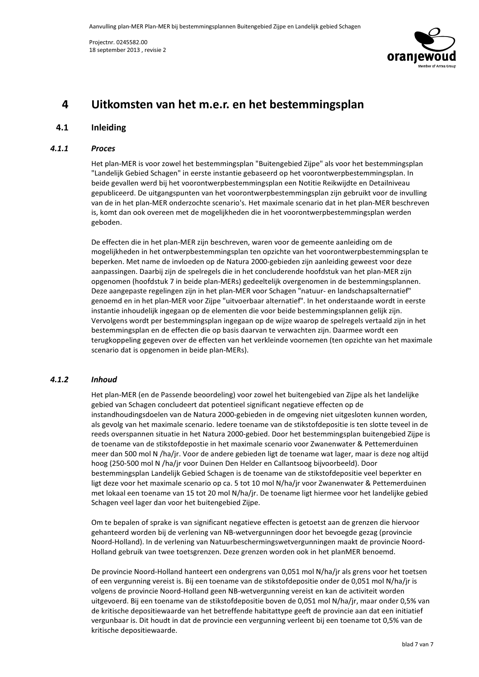

# 4 Uitkomsten van het m.e.r. en het bestemmingsplan

## 4.1 Inleiding

### 4.1.1 **Proces**

Het plan-MER is voor zowel het bestemmingsplan "Buitengebied Zijpe" als voor het bestemmingsplan "Landelijk Gebied Schagen" in eerste instantie gebaseerd op het voorontwerpbestemmingsplan. In beide gevallen werd bij het voorontwerpbestemmingsplan een Notitie Reikwijdte en Detailniveau gepubliceerd. De uitgangspunten van het voorontwerpbestemmingsplan zijn gebruikt voor de invulling van de in het plan-MER onderzochte scenario's. Het maximale scenario dat in het plan-MER beschreven is, komt dan ook overeen met de mogelijkheden die in het voorontwerpbestemmingsplan werden geboden.

De effecten die in het plan-MER zijn beschreven, waren voor de gemeente aanleiding om de mogelijkheden in het ontwerpbestemmingsplan ten opzichte van het voorontwerpbestemmingsplan te beperken. Met name de invloeden op de Natura 2000-gebieden zijn aanleiding geweest voor deze aanpassingen. Daarbij zijn de spelregels die in het concluderende hoofdstuk van het plan-MER zijn opgenomen (hoofdstuk 7 in beide plan-MERs) gedeeltelijk overgenomen in de bestemmingsplannen. Deze aangepaste regelingen zijn in het plan-MER voor Schagen "natuur- en landschapsalternatief" genoemd en in het plan-MER voor Zijpe "uitvoerbaar alternatief". In het onderstaande wordt in eerste instantie inhoudelijk ingegaan op de elementen die voor beide bestemmingsplannen gelijk zijn. Vervolgens wordt per bestemmingsplan ingegaan op de wijze waarop de spelregels vertaald zijn in het bestemmingsplan en de effecten die op basis daarvan te verwachten zijn. Daarmee wordt een terugkoppeling gegeven over de effecten van het verkleinde voornemen (ten opzichte van het maximale scenario dat is opgenomen in beide plan-MERs).

## 4.1.2 Inhoud

Het plan-MER (en de Passende beoordeling) voor zowel het buitengebied van Zijpe als het landelijke gebied van Schagen concludeert dat potentieel significant negatieve effecten op de instandhoudingsdoelen van de Natura 2000-gebieden in de omgeving niet uitgesloten kunnen worden, als gevolg van het maximale scenario. Iedere toename van de stikstofdepositie is ten slotte teveel in de reeds overspannen situatie in het Natura 2000-gebied. Door het bestemmingsplan buitengebied Zijpe is de toename van de stikstofdepostie in het maximale scenario voor Zwanenwater & Pettemerduinen meer dan 500 mol N /ha/ir. Voor de andere gebieden ligt de toename wat lager, maar is deze nog altijd hoog (250-500 mol N /ha/jr voor Duinen Den Helder en Callantsoog bijvoorbeeld). Door bestemmingsplan Landelijk Gebied Schagen is de toename van de stikstofdepositie veel beperkter en ligt deze voor het maximale scenario op ca. 5 tot 10 mol N/ha/jr voor Zwanenwater & Pettemerduinen met lokaal een toename van 15 tot 20 mol N/ha/jr. De toename ligt hiermee voor het landelijke gebied Schagen veel lager dan voor het buitengebied Zijpe.

Om te bepalen of sprake is van significant negatieve effecten is getoetst aan de grenzen die hiervoor gehanteerd worden bij de verlening van NB-wetvergunningen door het bevoegde gezag (provincie Noord-Holland). In de verlening van Natuurbeschermingswetvergunningen maakt de provincie Noord-Holland gebruik van twee toetsgrenzen. Deze grenzen worden ook in het planMER benoemd.

De provincie Noord-Holland hanteert een ondergrens van 0,051 mol N/ha/jr als grens voor het toetsen of een vergunning vereist is. Bij een toename van de stikstofdepositie onder de 0,051 mol N/ha/jr is volgens de provincie Noord-Holland geen NB-wetvergunning vereist en kan de activiteit worden uitgevoerd. Bij een toename van de stikstofdepositie boven de 0,051 mol N/ha/jr, maar onder 0,5% van de kritische depositiewaarde van het betreffende habitattype geeft de provincie aan dat een initiatief vergunbaar is. Dit houdt in dat de provincie een vergunning verleent bij een toename tot 0,5% van de kritische depositiewaarde.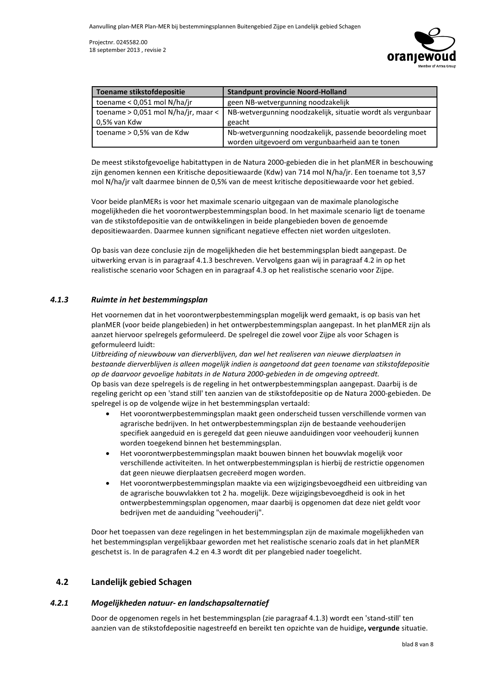

| Toename stikstofdepositie     | <b>Standpunt provincie Noord-Holland</b>                                                           |
|-------------------------------|----------------------------------------------------------------------------------------------------|
| toename $< 0.051$ mol N/ha/jr | geen NB-wetvergunning noodzakelijk                                                                 |
|                               | toename > 0,051 mol N/ha/jr, maar <   NB-wetvergunning noodzakelijk, situatie wordt als vergunbaar |
| 0,5% van Kdw                  | geacht                                                                                             |
| toename > 0,5% van de Kdw     | Nb-wetvergunning noodzakelijk, passende beoordeling moet                                           |
|                               | worden uitgevoerd om vergunbaarheid aan te tonen                                                   |

De meest stikstofgevoelige habitattypen in de Natura 2000-gebieden die in het planMER in beschouwing zijn genomen kennen een Kritische depositiewaarde (Kdw) van 714 mol N/ha/jr. Een toename tot 3,57 mol N/ha/jr valt daarmee binnen de 0,5% van de meest kritische depositiewaarde voor het gebied.

Voor beide planMERs is voor het maximale scenario uitgegaan van de maximale planologische mogelijkheden die het voorontwerpbestemmingsplan bood. In het maximale scenario ligt de toename van de stikstofdepositie van de ontwikkelingen in beide plangebieden boven de genoemde depositiewaarden. Daarmee kunnen significant negatieve effecten niet worden uitgesloten.

Op basis van deze conclusie zijn de mogelijkheden die het bestemmingsplan biedt aangepast. De uitwerking ervan is in paragraaf 4.1.3 beschreven. Vervolgens gaan wij in paragraaf 4.2 in op het realistische scenario voor Schagen en in paragraaf 4.3 op het realistische scenario voor Zijpe.

#### $4.1.3$ Ruimte in het bestemmingsplan

Het voornemen dat in het voorontwerpbestemmingsplan mogelijk werd gemaakt, is op basis van het planMER (voor beide plangebieden) in het ontwerpbestemmingsplan aangepast. In het planMER zijn als aanzet hiervoor spelregels geformuleerd. De spelregel die zowel voor Zijpe als voor Schagen is geformuleerd luidt:

Uitbreiding of nieuwbouw van dierverblijven, dan wel het realiseren van nieuwe dierplaatsen in bestaande dierverblijven is alleen mogelijk indien is aangetoond dat geen toename van stikstofdepositie op de daarvoor gevoelige habitats in de Natura 2000-gebieden in de omgeving optreedt. Op basis van deze spelregels is de regeling in het ontwerpbestemmingsplan aangepast. Daarbij is de regeling gericht op een 'stand still' ten aanzien van de stikstofdepositie op de Natura 2000-gebieden. De spelregel is op de volgende wijze in het bestemmingsplan vertaald:

- Het voorontwerpbestemmingsplan maakt geen onderscheid tussen verschillende vormen van agrarische bedrijven. In het ontwerpbestemmingsplan zijn de bestaande veehouderijen specifiek aangeduid en is geregeld dat geen nieuwe aanduidingen voor veehouderij kunnen worden toegekend binnen het bestemmingsplan.
- Het voorontwerpbestemmingsplan maakt bouwen binnen het bouwvlak mogelijk voor verschillende activiteiten. In het ontwerpbestemmingsplan is hierbij de restrictie opgenomen dat geen nieuwe dierplaatsen gecreëerd mogen worden.
- Het voorontwerpbestemmingsplan maakte via een wijzigingsbevoegdheid een uitbreiding van de agrarische bouwvlakken tot 2 ha. mogelijk. Deze wijzigingsbevoegdheid is ook in het ontwerpbestemmingsplan opgenomen, maar daarbij is opgenomen dat deze niet geldt voor bedrijven met de aanduiding "veehouderij".

Door het toepassen van deze regelingen in het bestemmingsplan zijn de maximale mogelijkheden van het bestemmingsplan vergelijkbaar geworden met het realistische scenario zoals dat in het planMER geschetst is. In de paragrafen 4.2 en 4.3 wordt dit per plangebied nader toegelicht.

#### $4.2$ Landelijk gebied Schagen

#### $4.2.1$ Mogelijkheden natuur- en landschapsalternatief

Door de opgenomen regels in het bestemmingsplan (zie paragraaf 4.1.3) wordt een 'stand-still' ten aanzien van de stikstofdepositie nagestreefd en bereikt ten opzichte van de huidige, vergunde situatie.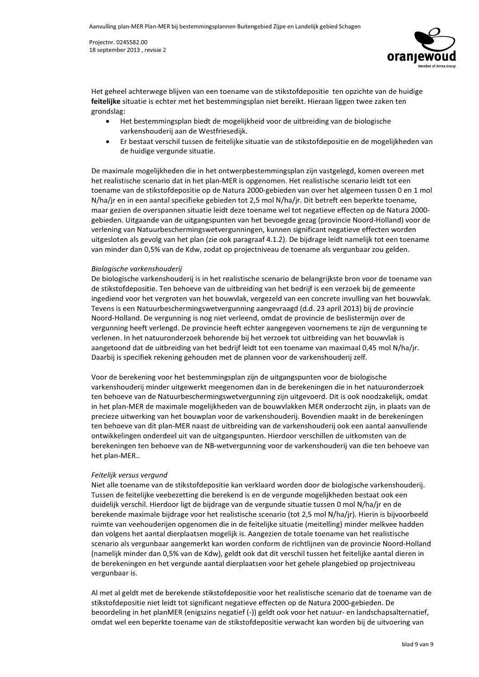

Het geheel achterwege blijven van een toename van de stikstofdepositie ten opzichte van de huidige feitelijke situatie is echter met het bestemmingsplan niet bereikt. Hieraan liggen twee zaken ten grondslag:

- Het bestemmingsplan biedt de mogelijkheid voor de uitbreiding van de biologische varkenshouderij aan de Westfriesedijk.
- Er bestaat verschil tussen de feitelijke situatie van de stikstofdepositie en de mogelijkheden van de huidige vergunde situatie.

De maximale mogelijkheden die in het ontwerpbestemmingsplan zijn vastgelegd, komen overeen met het realistische scenario dat in het plan-MER is opgenomen. Het realistische scenario leidt tot een toename van de stikstofdepositie op de Natura 2000-gebieden van over het algemeen tussen 0 en 1 mol  $N/ha/$  r en in een aantal specifieke gebieden tot 2,5 mol  $N/ha/$  r. Dit betreft een beperkte toename, maar gezien de overspannen situatie leidt deze toename wel tot negatieve effecten op de Natura 2000gebieden. Uitgaande van de uitgangspunten van het bevoegde gezag (provincie Noord-Holland) voor de verlening van Natuurbeschermingswetvergunningen, kunnen significant negatieve effecten worden uitgesloten als gevolg van het plan (zie ook paragraaf 4.1.2). De bijdrage leidt namelijk tot een toename van minder dan 0,5% van de Kdw, zodat op projectniveau de toename als vergunbaar zou gelden.

### Biologische varkenshouderij

De biologische varkenshouderij is in het realistische scenario de belangrijkste bron voor de toename van de stikstofdepositie. Ten behoeve van de uitbreiding van het bedrijf is een verzoek bij de gemeente ingediend voor het vergroten van het bouwvlak, vergezeld van een concrete invulling van het bouwvlak. Tevens is een Natuurbeschermingswetvergunning aangevraagd (d.d. 23 april 2013) bij de provincie Noord-Holland. De vergunning is nog niet verleend, omdat de provincie de beslistermijn over de vergunning heeft verlengd. De provincie heeft echter aangegeven voornemens te zijn de vergunning te verlenen. In het natuuronderzoek behorende bij het verzoek tot uitbreiding van het bouwvlak is aangetoond dat de uitbreiding van het bedrijf leidt tot een toename van maximaal 0,45 mol N/ha/jr. Daarbij is specifiek rekening gehouden met de plannen voor de varkenshouderij zelf.

Voor de berekening voor het bestemmingsplan zijn de uitgangspunten voor de biologische varkenshouderij minder uitgewerkt meegenomen dan in de berekeningen die in het natuuronderzoek ten behoeve van de Natuurbeschermingswetvergunning zijn uitgevoerd. Dit is ook noodzakelijk, omdat in het plan-MER de maximale mogelijkheden van de bouwvlakken MER onderzocht zijn, in plaats van de precieze uitwerking van het bouwplan voor de varkenshouderij. Bovendien maakt in de berekeningen ten behoeve van dit plan-MER naast de uitbreiding van de varkenshouderij ook een aantal aanvullende ontwikkelingen onderdeel uit van de uitgangspunten. Hierdoor verschillen de uitkomsten van de berekeningen ten behoeve van de NB-wetvergunning voor de varkenshouderij van die ten behoeve van het plan-MER..

### Feitelijk versus vergund

Niet alle toename van de stikstofdepositie kan verklaard worden door de biologische varkenshouderij. Tussen de feitelijke veebezetting die berekend is en de vergunde mogelijkheden bestaat ook een duidelijk verschil. Hierdoor ligt de bijdrage van de vergunde situatie tussen 0 mol N/ha/jr en de berekende maximale bijdrage voor het realistische scenario (tot 2,5 mol N/ha/jr). Hierin is bijvoorbeeld ruimte van veehouderijen opgenomen die in de feitelijke situatie (meitelling) minder melkvee hadden dan volgens het aantal dierplaatsen mogelijk is. Aangezien de totale toename van het realistische scenario als vergunbaar aangemerkt kan worden conform de richtlijnen van de provincie Noord-Holland (namelijk minder dan 0,5% van de Kdw), geldt ook dat dit verschil tussen het feitelijke aantal dieren in de berekeningen en het vergunde aantal dierplaatsen voor het gehele plangebied op projectniveau vergunbaar is.

Al met al geldt met de berekende stikstofdepositie voor het realistische scenario dat de toename van de stikstofdepositie niet leidt tot significant negatieve effecten op de Natura 2000-gebieden. De beoordeling in het planMER (enigszins negatief (-)) geldt ook voor het natuur- en landschapsalternatief, omdat wel een beperkte toename van de stikstofdepositie verwacht kan worden bij de uitvoering van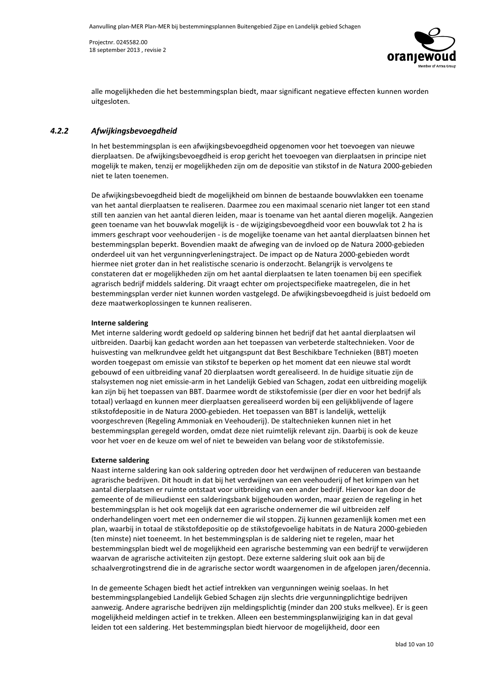

alle mogelijkheden die het bestemmingsplan biedt, maar significant negatieve effecten kunnen worden uitgesloten.

#### $4.2.2$ Afwijkingsbevoegdheid

In het bestemmingsplan is een afwijkingsbevoegdheid opgenomen voor het toevoegen van nieuwe dierplaatsen. De afwijkingsbevoegdheid is erop gericht het toevoegen van dierplaatsen in principe niet mogelijk te maken, tenzij er mogelijkheden zijn om de depositie van stikstof in de Natura 2000-gebieden niet te laten toenemen.

De afwijkingsbevoegdheid biedt de mogelijkheid om binnen de bestaande bouwvlakken een toename van het aantal dierplaatsen te realiseren. Daarmee zou een maximaal scenario niet langer tot een stand still ten aanzien van het aantal dieren leiden, maar is toename van het aantal dieren mogelijk. Aangezien geen toename van het bouwvlak mogelijk is - de wijzigingsbevoegdheid voor een bouwvlak tot 2 ha is immers geschrapt voor veehouderijen - is de mogelijke toename van het aantal dierplaatsen binnen het bestemmingsplan beperkt. Bovendien maakt de afweging van de invloed op de Natura 2000-gebieden onderdeel uit van het vergunningverleningstraject. De impact op de Natura 2000-gebieden wordt hiermee niet groter dan in het realistische scenario is onderzocht. Belangrijk is vervolgens te constateren dat er mogelijkheden zijn om het aantal dierplaatsen te laten toenamen bij een specifiek agrarisch bedrijf middels saldering. Dit vraagt echter om projectspecifieke maatregelen, die in het bestemmingsplan verder niet kunnen worden vastgelegd. De afwijkingsbevoegdheid is juist bedoeld om deze maatwerkoplossingen te kunnen realiseren.

### **Interne saldering**

Met interne saldering wordt gedoeld op saldering binnen het bedrijf dat het aantal dierplaatsen wil uitbreiden. Daarbij kan gedacht worden aan het toepassen van verbeterde staltechnieken. Voor de huisvesting van melkrundvee geldt het uitgangspunt dat Best Beschikbare Technieken (BBT) moeten worden toegepast om emissie van stikstof te beperken op het moment dat een nieuwe stal wordt gebouwd of een uitbreiding vanaf 20 dierplaatsen wordt gerealiseerd. In de huidige situatie zijn de stalsystemen nog niet emissie-arm in het Landelijk Gebied van Schagen, zodat een uitbreiding mogelijk kan zijn bij het toepassen van BBT. Daarmee wordt de stikstofemissie (per dier en voor het bedrijf als totaal) verlaagd en kunnen meer dierplaatsen gerealiseerd worden bij een gelijkblijvende of lagere stikstofdepositie in de Natura 2000-gebieden. Het toepassen van BBT is landelijk, wettelijk voorgeschreven (Regeling Ammoniak en Veehouderij). De staltechnieken kunnen niet in het bestemmingsplan geregeld worden, omdat deze niet ruimtelijk relevant zijn. Daarbij is ook de keuze voor het voer en de keuze om wel of niet te beweiden van belang voor de stikstofemissie.

### **Externe saldering**

Naast interne saldering kan ook saldering optreden door het verdwijnen of reduceren van bestaande agrarische bedrijven. Dit houdt in dat bij het verdwijnen van een veehouderij of het krimpen van het aantal dierplaatsen er ruimte ontstaat voor uitbreiding van een ander bedrijf. Hiervoor kan door de gemeente of de milieudienst een salderingsbank bijgehouden worden, maar gezien de regeling in het bestemmingsplan is het ook mogelijk dat een agrarische ondernemer die wil uitbreiden zelf onderhandelingen voert met een ondernemer die wil stoppen. Zij kunnen gezamenlijk komen met een plan, waarbij in totaal de stikstofdepositie op de stikstofgevoelige habitats in de Natura 2000-gebieden (ten minste) niet toeneemt. In het bestemmingsplan is de saldering niet te regelen, maar het bestemmingsplan biedt wel de mogelijkheid een agrarische bestemming van een bedrijf te verwijderen waarvan de agrarische activiteiten zijn gestopt. Deze externe saldering sluit ook aan bij de schaalvergrotingstrend die in de agrarische sector wordt waargenomen in de afgelopen jaren/decennia.

In de gemeente Schagen biedt het actief intrekken van vergunningen weinig soelaas. In het bestemmingsplangebied Landelijk Gebied Schagen zijn slechts drie vergunningplichtige bedrijven aanwezig. Andere agrarische bedrijven zijn meldingsplichtig (minder dan 200 stuks melkvee). Er is geen mogelijkheid meldingen actief in te trekken. Alleen een bestemmingsplanwijziging kan in dat geval leiden tot een saldering. Het bestemmingsplan biedt hiervoor de mogelijkheid, door een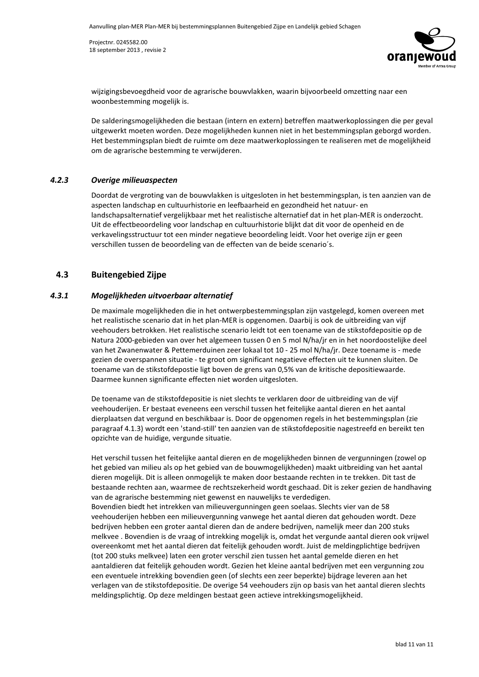

wijzigingsbevoegdheid voor de agrarische bouwvlakken, waarin bijvoorbeeld omzetting naar een woonbestemming mogelijk is.

De salderingsmogelijkheden die bestaan (intern en extern) betreffen maatwerkoplossingen die per geval uitgewerkt moeten worden. Deze mogelijkheden kunnen niet in het bestemmingsplan geborgd worden. Het bestemmingsplan biedt de ruimte om deze maatwerkoplossingen te realiseren met de mogelijkheid om de agrarische bestemming te verwijderen.

#### $4.2.3$ Overige milieuaspecten

Doordat de vergroting van de bouwvlakken is uitgesloten in het bestemmingsplan, is ten aanzien van de aspecten landschap en cultuurhistorie en leefbaarheid en gezondheid het natuur- en landschapsalternatief vergelijkbaar met het realistische alternatief dat in het plan-MER is onderzocht. Uit de effectbeoordeling voor landschap en cultuurhistorie blijkt dat dit voor de openheid en de verkavelingsstructuur tot een minder negatieve beoordeling leidt. Voor het overige zijn er geen verschillen tussen de beoordeling van de effecten van de beide scenario's.

#### $4.3$ **Buitengebied Zijpe**

#### $4.3.1$ Mogelijkheden uitvoerbaar alternatief

De maximale mogelijkheden die in het ontwerpbestemmingsplan zijn vastgelegd, komen overeen met het realistische scenario dat in het plan-MER is opgenomen. Daarbij is ook de uitbreiding van vijf veehouders betrokken. Het realistische scenario leidt tot een toename van de stikstofdepositie op de Natura 2000-gebieden van over het algemeen tussen 0 en 5 mol N/ha/jr en in het noordoostelijke deel van het Zwanenwater & Pettemerduinen zeer lokaal tot 10 - 25 mol N/ha/jr. Deze toename is - mede gezien de overspannen situatie - te groot om significant negatieve effecten uit te kunnen sluiten. De toename van de stikstofdepostie ligt boven de grens van 0,5% van de kritische depositiewaarde. Daarmee kunnen significante effecten niet worden uitgesloten.

De toename van de stikstofdepositie is niet slechts te verklaren door de uitbreiding van de vijf veehouderijen. Er bestaat eveneens een verschil tussen het feitelijke aantal dieren en het aantal dierplaatsen dat vergund en beschikbaar is. Door de opgenomen regels in het bestemmingsplan (zie paragraaf 4.1.3) wordt een 'stand-still' ten aanzien van de stikstofdepositie nagestreefd en bereikt ten opzichte van de huidige, vergunde situatie.

Het verschil tussen het feitelijke aantal dieren en de mogelijkheden binnen de vergunningen (zowel op het gebied van milieu als op het gebied van de bouwmogelijkheden) maakt uitbreiding van het aantal dieren mogelijk. Dit is alleen onmogelijk te maken door bestaande rechten in te trekken. Dit tast de bestaande rechten aan, waarmee de rechtszekerheid wordt geschaad. Dit is zeker gezien de handhaving van de agrarische bestemming niet gewenst en nauwelijks te verdedigen. Bovendien biedt het intrekken van milieuvergunningen geen soelaas. Slechts vier van de 58 veehouderijen hebben een milieuvergunning vanwege het aantal dieren dat gehouden wordt. Deze bedrijven hebben een groter aantal dieren dan de andere bedrijven, namelijk meer dan 200 stuks melkvee. Bovendien is de vraag of intrekking mogelijk is, omdat het vergunde aantal dieren ook vrijwel overeenkomt met het aantal dieren dat feitelijk gehouden wordt. Juist de meldingplichtige bedrijven (tot 200 stuks melkvee) laten een groter verschil zien tussen het aantal gemelde dieren en het aantaldieren dat feitelijk gehouden wordt. Gezien het kleine aantal bedrijven met een vergunning zou een eventuele intrekking bovendien geen (of slechts een zeer beperkte) bijdrage leveren aan het verlagen van de stikstofdepositie. De overige 54 veehouders zijn op basis van het aantal dieren slechts meldingsplichtig. Op deze meldingen bestaat geen actieve intrekkingsmogelijkheid.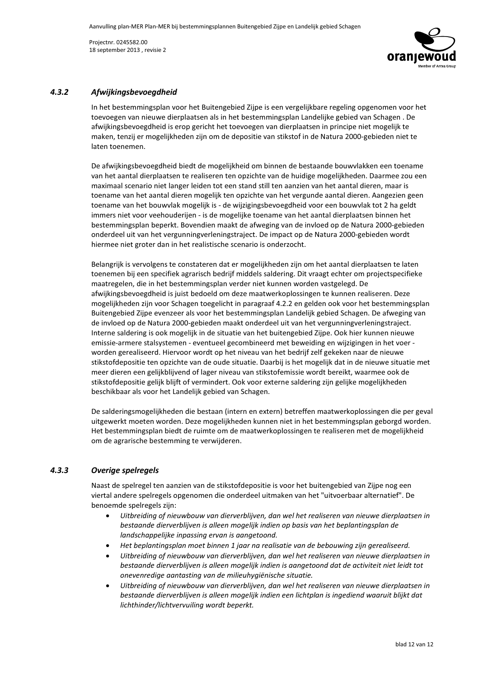

#### $4.3.2$ Afwijkingsbevoegdheid

In het bestemmingsplan voor het Buitengebied Zijpe is een vergelijkbare regeling opgenomen voor het toevoegen van nieuwe dierplaatsen als in het bestemmingsplan Landelijke gebied van Schagen. De afwijkingsbevoegdheid is erop gericht het toevoegen van dierplaatsen in principe niet mogelijk te maken, tenzij er mogelijkheden zijn om de depositie van stikstof in de Natura 2000-gebieden niet te laten toenemen.

De afwijkingsbevoegdheid biedt de mogelijkheid om binnen de bestaande bouwvlakken een toename van het aantal dierplaatsen te realiseren ten opzichte van de huidige mogelijkheden. Daarmee zou een maximaal scenario niet langer leiden tot een stand still ten aanzien van het aantal dieren, maar is toename van het aantal dieren mogelijk ten opzichte van het vergunde aantal dieren. Aangezien geen toename van het bouwvlak mogelijk is - de wijzigingsbevoegdheid voor een bouwvlak tot 2 ha geldt immers niet voor veehouderijen - is de mogelijke toename van het aantal dierplaatsen binnen het bestemmingsplan beperkt. Bovendien maakt de afweging van de invloed op de Natura 2000-gebieden onderdeel uit van het vergunningverleningstraject. De impact op de Natura 2000-gebieden wordt hiermee niet groter dan in het realistische scenario is onderzocht.

Belangrijk is vervolgens te constateren dat er mogelijkheden zijn om het aantal dierplaatsen te laten toenemen bij een specifiek agrarisch bedrijf middels saldering. Dit vraagt echter om projectspecifieke maatregelen, die in het bestemmingsplan verder niet kunnen worden vastgelegd. De afwijkingsbevoegdheid is juist bedoeld om deze maatwerkoplossingen te kunnen realiseren. Deze mogelijkheden zijn voor Schagen toegelicht in paragraaf 4.2.2 en gelden ook voor het bestemmingsplan Buitengebied Zijpe evenzeer als voor het bestemmingsplan Landelijk gebied Schagen. De afweging van de invloed op de Natura 2000-gebieden maakt onderdeel uit van het vergunningverleningstraject. Interne saldering is ook mogelijk in de situatie van het buitengebied Zijpe. Ook hier kunnen nieuwe emissie-armere stalsystemen - eventueel gecombineerd met beweiding en wijzigingen in het voer worden gerealiseerd. Hiervoor wordt op het niveau van het bedrijf zelf gekeken naar de nieuwe stikstofdepositie ten opzichte van de oude situatie. Daarbij is het mogelijk dat in de nieuwe situatie met meer dieren een gelijkblijvend of lager niveau van stikstofemissie wordt bereikt, waarmee ook de stikstofdepositie gelijk blijft of vermindert. Ook voor externe saldering zijn gelijke mogelijkheden beschikbaar als voor het Landelijk gebied van Schagen.

De salderingsmogelijkheden die bestaan (intern en extern) betreffen maatwerkoplossingen die per geval uitgewerkt moeten worden. Deze mogelijkheden kunnen niet in het bestemmingsplan geborgd worden. Het bestemmingsplan biedt de ruimte om de maatwerkoplossingen te realiseren met de mogelijkheid om de agrarische bestemming te verwijderen.

#### $4.3.3$ Overige spelregels

Naast de spelregel ten aanzien van de stikstofdepositie is voor het buitengebied van Zijpe nog een viertal andere spelregels opgenomen die onderdeel uitmaken van het "uitvoerbaar alternatief". De benoemde spelregels zijn:

- Uitbreiding of nieuwbouw van dierverblijven, dan wel het realiseren van nieuwe dierplaatsen in bestaande dierverblijven is alleen mogelijk indien op basis van het beplantingsplan de landschappelijke inpassing ervan is aangetoond.
- Het beplantingsplan moet binnen 1 jaar na realisatie van de bebouwing zijn gerealiseerd.
- Uitbreiding of nieuwbouw van dierverblijven, dan wel het realiseren van nieuwe dierplaatsen in bestaande dierverblijven is alleen mogelijk indien is aangetoond dat de activiteit niet leidt tot onevenredige aantasting van de milieuhygiënische situatie.
- Uitbreiding of nieuwbouw van dierverblijven, dan wel het realiseren van nieuwe dierplaatsen in bestaande dierverblijven is alleen mogelijk indien een lichtplan is ingediend waaruit blijkt dat lichthinder/lichtvervuiling wordt beperkt.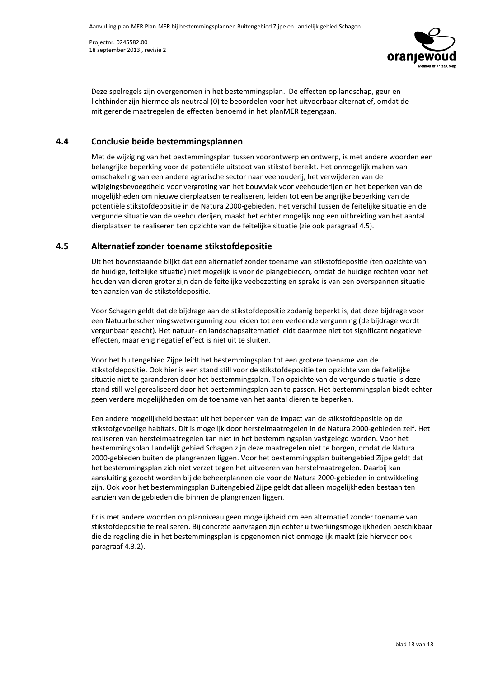

Deze spelregels zijn overgenomen in het bestemmingsplan. De effecten op landschap, geur en lichthinder zijn hiermee als neutraal (0) te beoordelen voor het uitvoerbaar alternatief, omdat de mitigerende maatregelen de effecten benoemd in het planMER tegengaan.

#### 4.4 Conclusie beide bestemmingsplannen

Met de wijziging van het bestemmingsplan tussen voorontwerp en ontwerp, is met andere woorden een belangrijke beperking voor de potentiële uitstoot van stikstof bereikt. Het onmogelijk maken van omschakeling van een andere agrarische sector naar veehouderij, het verwijderen van de wijzigingsbevoegdheid voor vergroting van het bouwvlak voor veehouderijen en het beperken van de mogelijkheden om nieuwe dierplaatsen te realiseren, leiden tot een belangrijke beperking van de potentiële stikstofdepositie in de Natura 2000-gebieden. Het verschil tussen de feitelijke situatie en de vergunde situatie van de veehouderijen, maakt het echter mogelijk nog een uitbreiding van het aantal dierplaatsen te realiseren ten opzichte van de feitelijke situatie (zie ook paragraaf 4.5).

#### $4.5$ Alternatief zonder toename stikstofdepositie

Uit het bovenstaande blijkt dat een alternatief zonder toename van stikstofdepositie (ten opzichte van de huidige, feitelijke situatie) niet mogelijk is voor de plangebieden, omdat de huidige rechten voor het houden van dieren groter zijn dan de feitelijke veebezetting en sprake is van een overspannen situatie ten aanzien van de stikstofdepositie.

Voor Schagen geldt dat de bijdrage aan de stikstofdepositie zodanig beperkt is, dat deze bijdrage voor een Natuurbeschermingswetvergunning zou leiden tot een verleende vergunning (de bijdrage wordt vergunbaar geacht). Het natuur- en landschapsalternatief leidt daarmee niet tot significant negatieve effecten, maar enig negatief effect is niet uit te sluiten.

Voor het buitengebied Zijpe leidt het bestemmingsplan tot een grotere toename van de stikstofdepositie. Ook hier is een stand still voor de stikstofdepositie ten opzichte van de feitelijke situatie niet te garanderen door het bestemmingsplan. Ten opzichte van de vergunde situatie is deze stand still wel gerealiseerd door het bestemmingsplan aan te passen. Het bestemmingsplan biedt echter geen verdere mogelijkheden om de toename van het aantal dieren te beperken.

Een andere mogelijkheid bestaat uit het beperken van de impact van de stikstofdepositie op de stikstofgevoelige habitats. Dit is mogelijk door herstelmaatregelen in de Natura 2000-gebieden zelf. Het realiseren van herstelmaatregelen kan niet in het bestemmingsplan vastgelegd worden. Voor het bestemmingsplan Landelijk gebied Schagen zijn deze maatregelen niet te borgen, omdat de Natura 2000-gebieden buiten de plangrenzen liggen. Voor het bestemmingsplan buitengebied Zijpe geldt dat het bestemmingsplan zich niet verzet tegen het uitvoeren van herstelmaatregelen. Daarbij kan aansluiting gezocht worden bij de beheerplannen die voor de Natura 2000-gebieden in ontwikkeling zijn. Ook voor het bestemmingsplan Buitengebied Zijpe geldt dat alleen mogelijkheden bestaan ten aanzien van de gebieden die binnen de plangrenzen liggen.

Er is met andere woorden op planniveau geen mogelijkheid om een alternatief zonder toename van stikstofdepositie te realiseren. Bij concrete aanvragen zijn echter uitwerkingsmogelijkheden beschikbaar die de regeling die in het bestemmingsplan is opgenomen niet onmogelijk maakt (zie hiervoor ook paragraaf 4.3.2).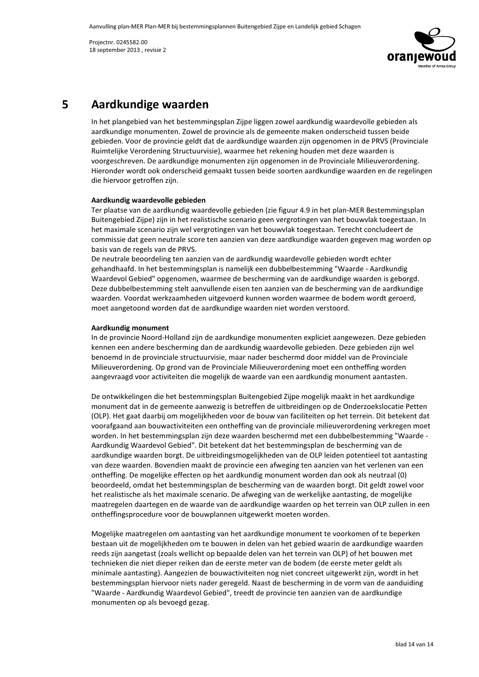

### Aardkundige waarden 5

In het plangebied van het bestemmingsplan Zijpe liggen zowel aardkundig waardevolle gebieden als aardkundige monumenten. Zowel de provincie als de gemeente maken onderscheid tussen beide gebieden. Voor de provincie geldt dat de aardkundige waarden zijn opgenomen in de PRVS (Provinciale Ruimtelijke Verordening Structuurvisie), waarmee het rekening houden met deze waarden is voorgeschreven. De aardkundige monumenten zijn opgenomen in de Provinciale Milieuverordening. Hieronder wordt ook onderscheid gemaakt tussen beide soorten aardkundige waarden en de regelingen die hiervoor getroffen zijn.

### Aardkundig waardevolle gebieden

Ter plaatse van de aardkundig waardevolle gebieden (zie figuur 4.9 in het plan-MER Bestemmingsplan Buitengebied Zijpe) zijn in het realistische scenario geen vergrotingen van het bouwvlak toegestaan. In het maximale scenario zijn wel vergrotingen van het bouwvlak toegestaan. Terecht concludeert de commissie dat geen neutrale score ten aanzien van deze aardkundige waarden gegeven mag worden op basis van de regels van de PRVS.

De neutrale beoordeling ten aanzien van de aardkundig waardevolle gebieden wordt echter gehandhaafd. In het bestemmingsplan is namelijk een dubbelbestemming "Waarde - Aardkundig Waardevol Gebied" opgenomen, waarmee de bescherming van de aardkundige waarden is geborgd. Deze dubbelbestemming stelt aanvullende eisen ten aanzien van de bescherming van de aardkundige waarden. Voordat werkzaamheden uitgevoerd kunnen worden waarmee de bodem wordt geroerd, moet aangetoond worden dat de aardkundige waarden niet worden verstoord.

### Aardkundig monument

In de provincie Noord-Holland zijn de aardkundige monumenten expliciet aangewezen. Deze gebieden kennen een andere bescherming dan de aardkundig waardevolle gebieden. Deze gebieden zijn wel benoemd in de provinciale structuurvisie, maar nader beschermd door middel van de Provinciale Milieuverordening. Op grond van de Provinciale Milieuverordening moet een ontheffing worden aangevraagd voor activiteiten die mogelijk de waarde van een aardkundig monument aantasten.

De ontwikkelingen die het bestemmingsplan Buitengebied Zijpe mogelijk maakt in het aardkundige monument dat in de gemeente aanwezig is betreffen de uitbreidingen op de Onderzoekslocatie Petten (OLP). Het gaat daarbij om mogelijkheden voor de bouw van faciliteiten op het terrein. Dit betekent dat voorafgaand aan bouwactiviteiten een ontheffing van de provinciale milieuverordening verkregen moet worden. In het bestemmingsplan zijn deze waarden beschermd met een dubbelbestemming "Waarde -Aardkundig Waardevol Gebied". Dit betekent dat het bestemmingsplan de bescherming van de aardkundige waarden borgt. De uitbreidingsmogelijkheden van de OLP leiden potentieel tot aantasting van deze waarden. Bovendien maakt de provincie een afweging ten aanzien van het verlenen van een ontheffing. De mogelijke effecten op het aardkundig monument worden dan ook als neutraal (0) beoordeeld, omdat het bestemmingsplan de bescherming van de waarden borgt. Dit geldt zowel voor het realistische als het maximale scenario. De afweging van de werkelijke aantasting, de mogelijke maatregelen daartegen en de waarde van de aardkundige waarden op het terrein van OLP zullen in een ontheffingsprocedure voor de bouwplannen uitgewerkt moeten worden.

Mogelijke maatregelen om aantasting van het aardkundige monument te voorkomen of te beperken bestaan uit de mogelijkheden om te bouwen in delen van het gebied waarin de aardkundige waarden reeds zijn aangetast (zoals wellicht op bepaalde delen van het terrein van OLP) of het bouwen met technieken die niet dieper reiken dan de eerste meter van de bodem (de eerste meter geldt als minimale aantasting). Aangezien de bouwactiviteiten nog niet concreet uitgewerkt zijn, wordt in het bestemmingsplan hiervoor niets nader geregeld. Naast de bescherming in de vorm van de aanduiding "Waarde - Aardkundig Waardevol Gebied", treedt de provincie ten aanzien van de aardkundige monumenten op als bevoegd gezag.